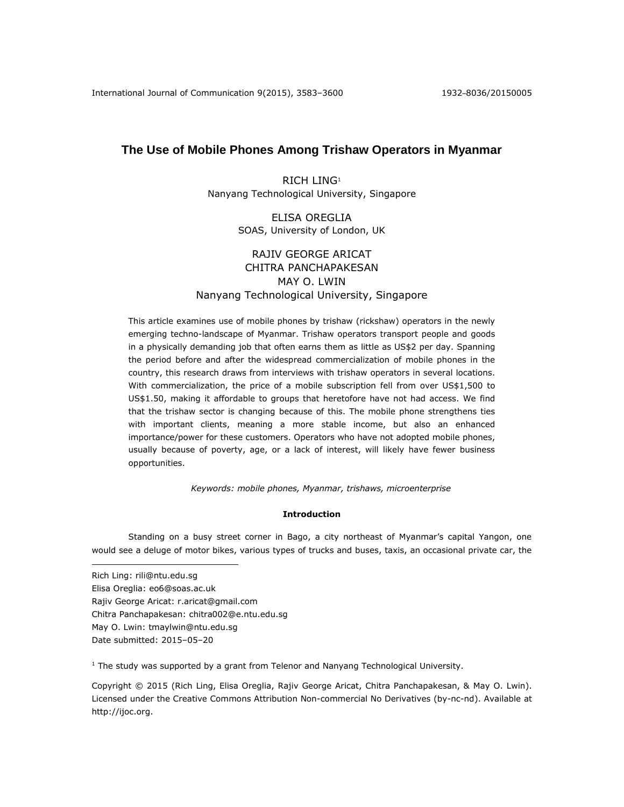# **The Use of Mobile Phones Among Trishaw Operators in Myanmar**

RICH LING<sup>1</sup> Nanyang Technological University, Singapore

# ELISA OREGLIA SOAS, University of London, UK

# RAJIV GEORGE ARICAT CHITRA PANCHAPAKESAN MAY O. LWIN Nanyang Technological University, Singapore

This article examines use of mobile phones by trishaw (rickshaw) operators in the newly emerging techno-landscape of Myanmar. Trishaw operators transport people and goods in a physically demanding job that often earns them as little as US\$2 per day. Spanning the period before and after the widespread commercialization of mobile phones in the country, this research draws from interviews with trishaw operators in several locations. With commercialization, the price of a mobile subscription fell from over US\$1,500 to US\$1.50, making it affordable to groups that heretofore have not had access. We find that the trishaw sector is changing because of this. The mobile phone strengthens ties with important clients, meaning a more stable income, but also an enhanced importance/power for these customers. Operators who have not adopted mobile phones, usually because of poverty, age, or a lack of interest, will likely have fewer business opportunities.

*Keywords: mobile phones, Myanmar, trishaws, microenterprise*

## **Introduction**

Standing on a busy street corner in Bago, a city northeast of Myanmar's capital Yangon, one would see a deluge of motor bikes, various types of trucks and buses, taxis, an occasional private car, the

 $\overline{a}$ Rich Ling: rili@ntu.edu.sg Elisa Oreglia: eo6@soas.ac.uk Rajiv George Aricat: r.aricat@gmail.com Chitra Panchapakesan: chitra002@e.ntu.edu.sg May O. Lwin: tmaylwin@ntu.edu.sg Date submitted: 2015–05–20

 $<sup>1</sup>$  The study was supported by a grant from Telenor and Nanyang Technological University.</sup>

Copyright © 2015 (Rich Ling, Elisa Oreglia, Rajiv George Aricat, Chitra Panchapakesan, & May O. Lwin). Licensed under the Creative Commons Attribution Non-commercial No Derivatives (by-nc-nd). Available at [http://ijoc.org.](http://ijoc.org/)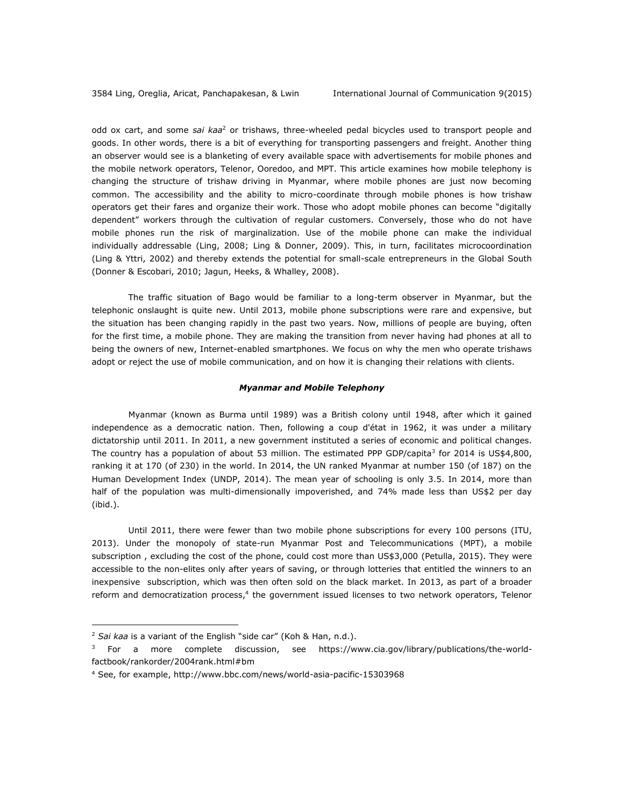odd ox cart, and some *sai kaa*<sup>2</sup> or trishaws, three-wheeled pedal bicycles used to transport people and goods. In other words, there is a bit of everything for transporting passengers and freight. Another thing an observer would see is a blanketing of every available space with advertisements for mobile phones and the mobile network operators, Telenor, Ooredoo, and MPT. This article examines how mobile telephony is changing the structure of trishaw driving in Myanmar, where mobile phones are just now becoming common. The accessibility and the ability to micro-coordinate through mobile phones is how trishaw operators get their fares and organize their work. Those who adopt mobile phones can become "digitally dependent" workers through the cultivation of regular customers. Conversely, those who do not have mobile phones run the risk of marginalization. Use of the mobile phone can make the individual individually addressable (Ling, 2008; Ling & Donner, 2009). This, in turn, facilitates microcoordination (Ling & Yttri, 2002) and thereby extends the potential for small-scale entrepreneurs in the Global South (Donner & Escobari, 2010; Jagun, Heeks, & Whalley, 2008).

The traffic situation of Bago would be familiar to a long-term observer in Myanmar, but the telephonic onslaught is quite new. Until 2013, mobile phone subscriptions were rare and expensive, but the situation has been changing rapidly in the past two years. Now, millions of people are buying, often for the first time, a mobile phone. They are making the transition from never having had phones at all to being the owners of new, Internet-enabled smartphones. We focus on why the men who operate trishaws adopt or reject the use of mobile communication, and on how it is changing their relations with clients.

#### *Myanmar and Mobile Telephony*

Myanmar (known as Burma until 1989) was a British colony until 1948, after which it gained independence as a democratic nation. Then, following a coup d'état in 1962, it was under a military dictatorship until 2011. In 2011, a new government instituted a series of economic and political changes. The country has a population of about 53 million. The estimated PPP GDP/capita<sup>3</sup> for 2014 is US\$4,800, ranking it at 170 (of 230) in the world. In 2014, the UN ranked Myanmar at number 150 (of 187) on the Human Development Index (UNDP, 2014). The mean year of schooling is only 3.5. In 2014, more than half of the population was multi-dimensionally impoverished, and 74% made less than US\$2 per day (ibid.).

Until 2011, there were fewer than two mobile phone subscriptions for every 100 persons (ITU, 2013). Under the monopoly of state-run Myanmar Post and Telecommunications (MPT), a mobile subscription , excluding the cost of the phone, could cost more than US\$3,000 (Petulla, 2015). They were accessible to the non-elites only after years of saving, or through lotteries that entitled the winners to an inexpensive subscription, which was then often sold on the black market. In 2013, as part of a broader reform and democratization process,<sup>4</sup> the government issued licenses to two network operators, Telenor

 $\overline{a}$ 

<sup>2</sup> *Sai kaa* is a variant of the English "side car" (Koh & Han, n.d.).

<sup>&</sup>lt;sup>3</sup> For a more complete discussion, see [https://www.cia.gov/library/publications/the-world](https://www.cia.gov/library/publications/the-world-factbook/rankorder/2004rank.html#bm)[factbook/rankorder/2004rank.html#bm](https://www.cia.gov/library/publications/the-world-factbook/rankorder/2004rank.html#bm)

<sup>4</sup> See, for example, <http://www.bbc.com/news/world-asia-pacific-15303968>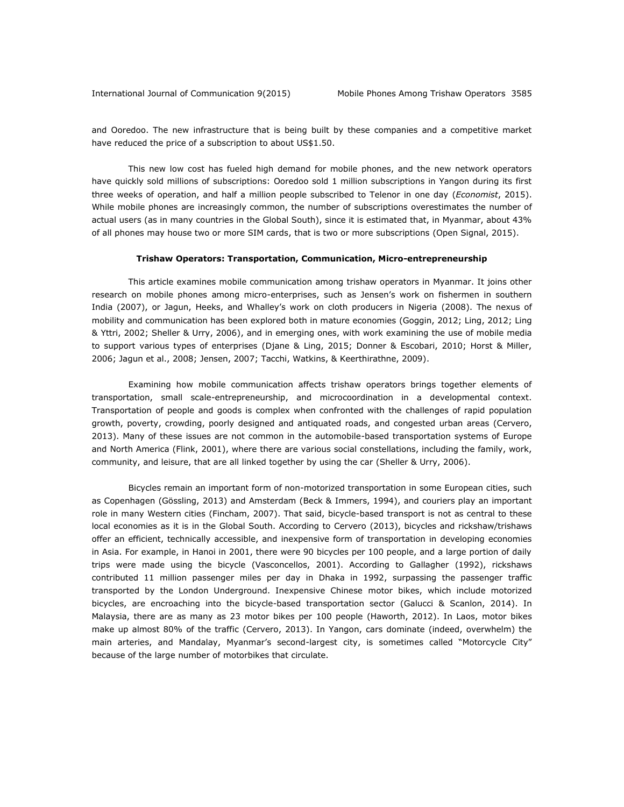and Ooredoo. The new infrastructure that is being built by these companies and a competitive market have reduced the price of a subscription to about US\$1.50.

This new low cost has fueled high demand for mobile phones, and the new network operators have quickly sold millions of subscriptions: Ooredoo sold 1 million subscriptions in Yangon during its first three weeks of operation, and half a million people subscribed to Telenor in one day (*Economist*, 2015). While mobile phones are increasingly common, the number of subscriptions overestimates the number of actual users (as in many countries in the Global South), since it is estimated that, in Myanmar, about 43% of all phones may house two or more SIM cards, that is two or more subscriptions (Open Signal, 2015).

#### **Trishaw Operators: Transportation, Communication, Micro-entrepreneurship**

This article examines mobile communication among trishaw operators in Myanmar. It joins other research on mobile phones among micro-enterprises, such as Jensen's work on fishermen in southern India (2007), or Jagun, Heeks, and Whalley's work on cloth producers in Nigeria (2008). The nexus of mobility and communication has been explored both in mature economies (Goggin, 2012; Ling, 2012; Ling & Yttri, 2002; Sheller & Urry, 2006), and in emerging ones, with work examining the use of mobile media to support various types of enterprises (Djane & Ling, 2015; Donner & Escobari, 2010; Horst & Miller, 2006; Jagun et al., 2008; Jensen, 2007; Tacchi, Watkins, & Keerthirathne, 2009).

Examining how mobile communication affects trishaw operators brings together elements of transportation, small scale-entrepreneurship, and microcoordination in a developmental context. Transportation of people and goods is complex when confronted with the challenges of rapid population growth, poverty, crowding, poorly designed and antiquated roads, and congested urban areas (Cervero, 2013). Many of these issues are not common in the automobile-based transportation systems of Europe and North America (Flink, 2001), where there are various social constellations, including the family, work, community, and leisure, that are all linked together by using the car (Sheller & Urry, 2006).

Bicycles remain an important form of non-motorized transportation in some European cities, such as Copenhagen (Gössling, 2013) and Amsterdam (Beck & Immers, 1994), and couriers play an important role in many Western cities (Fincham, 2007). That said, bicycle-based transport is not as central to these local economies as it is in the Global South. According to Cervero (2013), bicycles and rickshaw/trishaws offer an efficient, technically accessible, and inexpensive form of transportation in developing economies in Asia. For example, in Hanoi in 2001, there were 90 bicycles per 100 people, and a large portion of daily trips were made using the bicycle (Vasconcellos, 2001). According to Gallagher (1992), rickshaws contributed 11 million passenger miles per day in Dhaka in 1992, surpassing the passenger traffic transported by the London Underground. Inexpensive Chinese motor bikes, which include motorized bicycles, are encroaching into the bicycle-based transportation sector (Galucci & Scanlon, 2014). In Malaysia, there are as many as 23 motor bikes per 100 people (Haworth, 2012). In Laos, motor bikes make up almost 80% of the traffic (Cervero, 2013). In Yangon, cars dominate (indeed, overwhelm) the main arteries, and Mandalay, Myanmar's second-largest city, is sometimes called "Motorcycle City" because of the large number of motorbikes that circulate.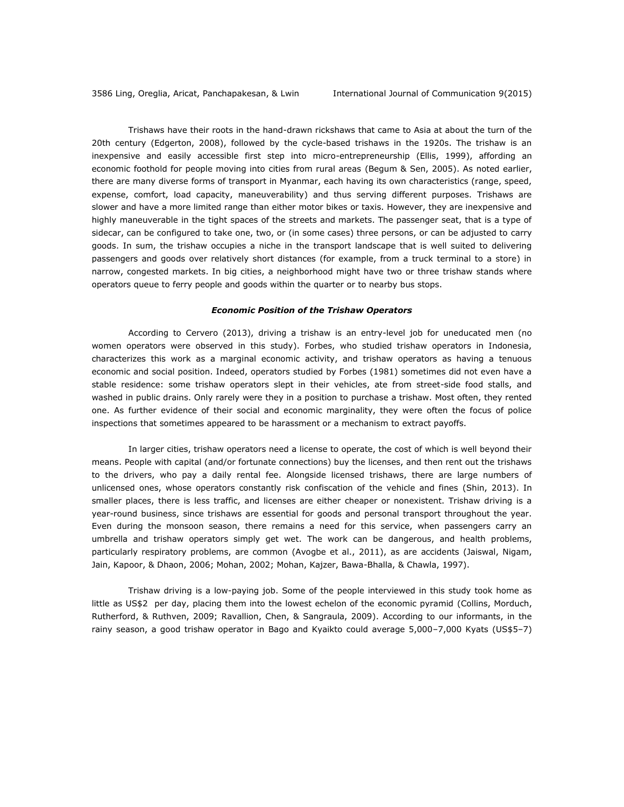Trishaws have their roots in the hand-drawn rickshaws that came to Asia at about the turn of the 20th century (Edgerton, 2008), followed by the cycle-based trishaws in the 1920s. The trishaw is an inexpensive and easily accessible first step into micro-entrepreneurship (Ellis, 1999), affording an economic foothold for people moving into cities from rural areas (Begum & Sen, 2005). As noted earlier, there are many diverse forms of transport in Myanmar, each having its own characteristics (range, speed, expense, comfort, load capacity, maneuverability) and thus serving different purposes. Trishaws are slower and have a more limited range than either motor bikes or taxis. However, they are inexpensive and highly maneuverable in the tight spaces of the streets and markets. The passenger seat, that is a type of sidecar, can be configured to take one, two, or (in some cases) three persons, or can be adjusted to carry goods. In sum, the trishaw occupies a niche in the transport landscape that is well suited to delivering passengers and goods over relatively short distances (for example, from a truck terminal to a store) in narrow, congested markets. In big cities, a neighborhood might have two or three trishaw stands where operators queue to ferry people and goods within the quarter or to nearby bus stops.

#### *Economic Position of the Trishaw Operators*

According to Cervero (2013), driving a trishaw is an entry-level job for uneducated men (no women operators were observed in this study). Forbes, who studied trishaw operators in Indonesia, characterizes this work as a marginal economic activity, and trishaw operators as having a tenuous economic and social position. Indeed, operators studied by Forbes (1981) sometimes did not even have a stable residence: some trishaw operators slept in their vehicles, ate from street-side food stalls, and washed in public drains. Only rarely were they in a position to purchase a trishaw. Most often, they rented one. As further evidence of their social and economic marginality, they were often the focus of police inspections that sometimes appeared to be harassment or a mechanism to extract payoffs.

In larger cities, trishaw operators need a license to operate, the cost of which is well beyond their means. People with capital (and/or fortunate connections) buy the licenses, and then rent out the trishaws to the drivers, who pay a daily rental fee. Alongside licensed trishaws, there are large numbers of unlicensed ones, whose operators constantly risk confiscation of the vehicle and fines (Shin, 2013). In smaller places, there is less traffic, and licenses are either cheaper or nonexistent. Trishaw driving is a year-round business, since trishaws are essential for goods and personal transport throughout the year. Even during the monsoon season, there remains a need for this service, when passengers carry an umbrella and trishaw operators simply get wet. The work can be dangerous, and health problems, particularly respiratory problems, are common (Avogbe et al., 2011), as are accidents (Jaiswal, Nigam, Jain, Kapoor, & Dhaon, 2006; Mohan, 2002; Mohan, Kajzer, Bawa-Bhalla, & Chawla, 1997).

Trishaw driving is a low-paying job. Some of the people interviewed in this study took home as little as US\$2 per day, placing them into the lowest echelon of the economic pyramid (Collins, Morduch, Rutherford, & Ruthven, 2009; Ravallion, Chen, & Sangraula, 2009). According to our informants, in the rainy season, a good trishaw operator in Bago and Kyaikto could average 5,000–7,000 Kyats (US\$5–7)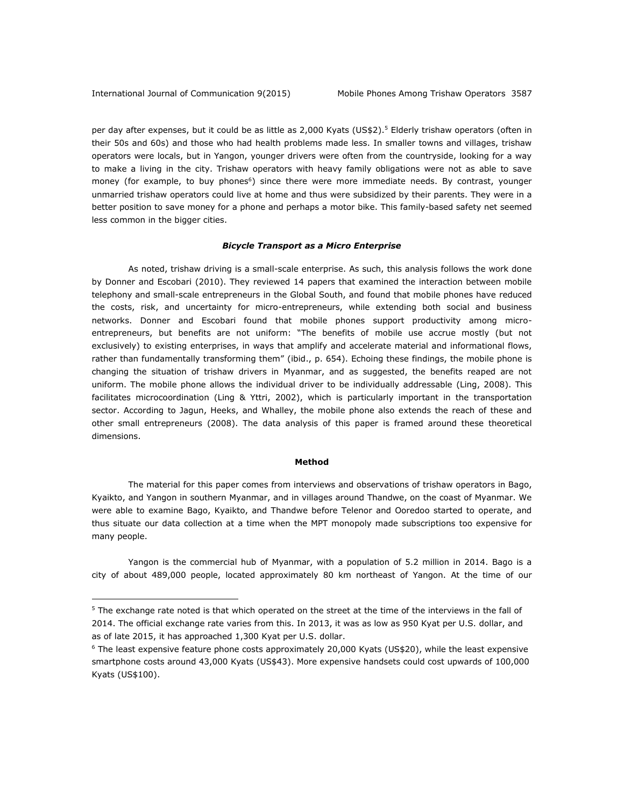$\overline{a}$ 

per day after expenses, but it could be as little as 2,000 Kyats (US\$2).<sup>5</sup> Elderly trishaw operators (often in their 50s and 60s) and those who had health problems made less. In smaller towns and villages, trishaw operators were locals, but in Yangon, younger drivers were often from the countryside, looking for a way to make a living in the city. Trishaw operators with heavy family obligations were not as able to save money (for example, to buy phones<sup>6</sup>) since there were more immediate needs. By contrast, younger unmarried trishaw operators could live at home and thus were subsidized by their parents. They were in a better position to save money for a phone and perhaps a motor bike. This family-based safety net seemed less common in the bigger cities.

#### *Bicycle Transport as a Micro Enterprise*

As noted, trishaw driving is a small-scale enterprise. As such, this analysis follows the work done by Donner and Escobari (2010). They reviewed 14 papers that examined the interaction between mobile telephony and small-scale entrepreneurs in the Global South, and found that mobile phones have reduced the costs, risk, and uncertainty for micro-entrepreneurs, while extending both social and business networks. Donner and Escobari found that mobile phones support productivity among microentrepreneurs, but benefits are not uniform: "The benefits of mobile use accrue mostly (but not exclusively) to existing enterprises, in ways that amplify and accelerate material and informational flows, rather than fundamentally transforming them" (ibid., p. 654). Echoing these findings, the mobile phone is changing the situation of trishaw drivers in Myanmar, and as suggested, the benefits reaped are not uniform. The mobile phone allows the individual driver to be individually addressable (Ling, 2008). This facilitates microcoordination (Ling & Yttri, 2002), which is particularly important in the transportation sector. According to Jagun, Heeks, and Whalley, the mobile phone also extends the reach of these and other small entrepreneurs (2008). The data analysis of this paper is framed around these theoretical dimensions.

#### **Method**

The material for this paper comes from interviews and observations of trishaw operators in Bago, Kyaikto, and Yangon in southern Myanmar, and in villages around Thandwe, on the coast of Myanmar. We were able to examine Bago, Kyaikto, and Thandwe before Telenor and Ooredoo started to operate, and thus situate our data collection at a time when the MPT monopoly made subscriptions too expensive for many people.

Yangon is the commercial hub of Myanmar, with a population of 5.2 million in 2014. Bago is a city of about 489,000 people, located approximately 80 km northeast of Yangon. At the time of our

 $5$  The exchange rate noted is that which operated on the street at the time of the interviews in the fall of 2014. The official exchange rate varies from this. In 2013, it was as low as 950 Kyat per U.S. dollar, and as of late 2015, it has approached 1,300 Kyat per U.S. dollar.

 $6$  The least expensive feature phone costs approximately 20,000 Kyats (US\$20), while the least expensive smartphone costs around 43,000 Kyats (US\$43). More expensive handsets could cost upwards of 100,000 Kyats (US\$100).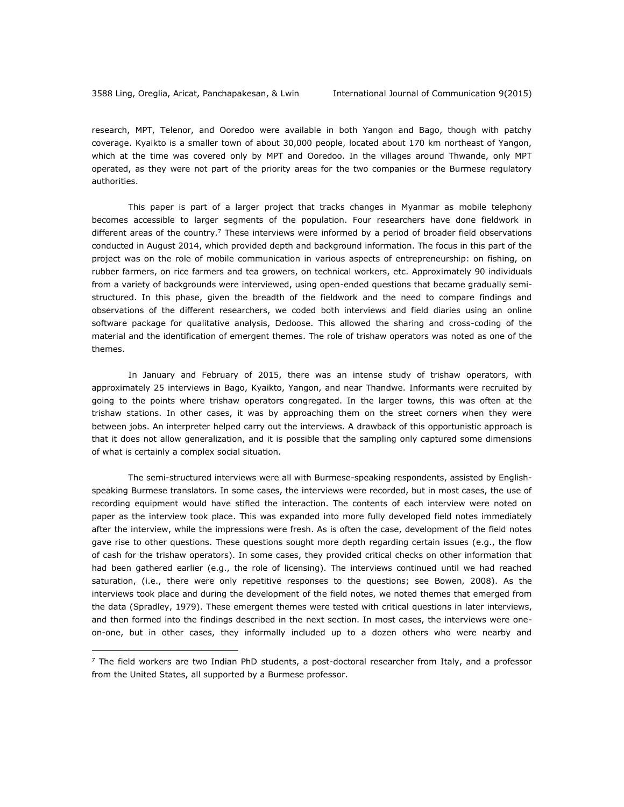$\overline{a}$ 

research, MPT, Telenor, and Ooredoo were available in both Yangon and Bago, though with patchy coverage. Kyaikto is a smaller town of about 30,000 people, located about 170 km northeast of Yangon, which at the time was covered only by MPT and Ooredoo. In the villages around Thwande, only MPT operated, as they were not part of the priority areas for the two companies or the Burmese regulatory authorities.

This paper is part of a larger project that tracks changes in Myanmar as mobile telephony becomes accessible to larger segments of the population. Four researchers have done fieldwork in different areas of the country.<sup>7</sup> These interviews were informed by a period of broader field observations conducted in August 2014, which provided depth and background information. The focus in this part of the project was on the role of mobile communication in various aspects of entrepreneurship: on fishing, on rubber farmers, on rice farmers and tea growers, on technical workers, etc. Approximately 90 individuals from a variety of backgrounds were interviewed, using open-ended questions that became gradually semistructured. In this phase, given the breadth of the fieldwork and the need to compare findings and observations of the different researchers, we coded both interviews and field diaries using an online software package for qualitative analysis, Dedoose. This allowed the sharing and cross-coding of the material and the identification of emergent themes. The role of trishaw operators was noted as one of the themes.

In January and February of 2015, there was an intense study of trishaw operators, with approximately 25 interviews in Bago, Kyaikto, Yangon, and near Thandwe. Informants were recruited by going to the points where trishaw operators congregated. In the larger towns, this was often at the trishaw stations. In other cases, it was by approaching them on the street corners when they were between jobs. An interpreter helped carry out the interviews. A drawback of this opportunistic approach is that it does not allow generalization, and it is possible that the sampling only captured some dimensions of what is certainly a complex social situation.

The semi-structured interviews were all with Burmese-speaking respondents, assisted by Englishspeaking Burmese translators. In some cases, the interviews were recorded, but in most cases, the use of recording equipment would have stifled the interaction. The contents of each interview were noted on paper as the interview took place. This was expanded into more fully developed field notes immediately after the interview, while the impressions were fresh. As is often the case, development of the field notes gave rise to other questions. These questions sought more depth regarding certain issues (e.g., the flow of cash for the trishaw operators). In some cases, they provided critical checks on other information that had been gathered earlier (e.g., the role of licensing). The interviews continued until we had reached saturation, (i.e., there were only repetitive responses to the questions; see Bowen, 2008). As the interviews took place and during the development of the field notes, we noted themes that emerged from the data (Spradley, 1979). These emergent themes were tested with critical questions in later interviews, and then formed into the findings described in the next section. In most cases, the interviews were oneon-one, but in other cases, they informally included up to a dozen others who were nearby and

 $<sup>7</sup>$  The field workers are two Indian PhD students, a post-doctoral researcher from Italy, and a professor</sup> from the United States, all supported by a Burmese professor.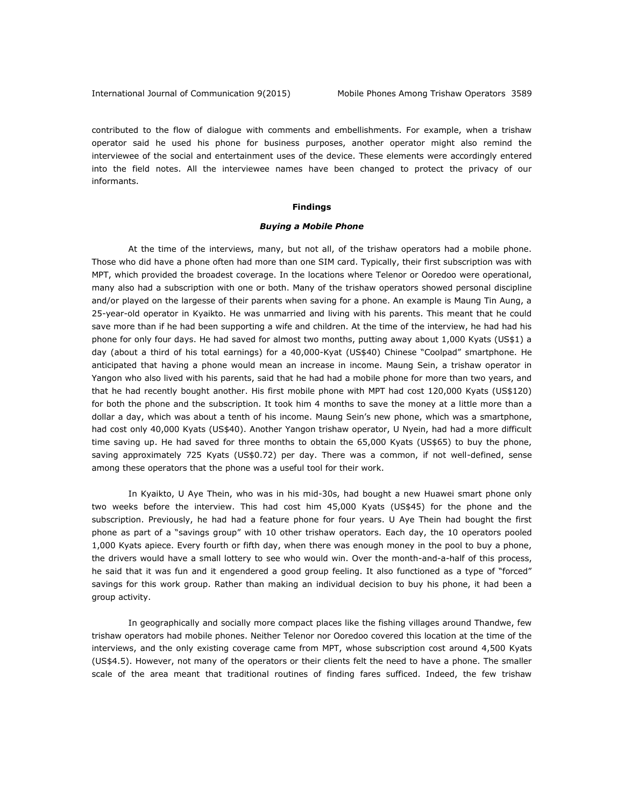contributed to the flow of dialogue with comments and embellishments. For example, when a trishaw operator said he used his phone for business purposes, another operator might also remind the interviewee of the social and entertainment uses of the device. These elements were accordingly entered into the field notes. All the interviewee names have been changed to protect the privacy of our informants.

## **Findings**

#### *Buying a Mobile Phone*

At the time of the interviews, many, but not all, of the trishaw operators had a mobile phone. Those who did have a phone often had more than one SIM card. Typically, their first subscription was with MPT, which provided the broadest coverage. In the locations where Telenor or Ooredoo were operational, many also had a subscription with one or both. Many of the trishaw operators showed personal discipline and/or played on the largesse of their parents when saving for a phone. An example is Maung Tin Aung, a 25-year-old operator in Kyaikto. He was unmarried and living with his parents. This meant that he could save more than if he had been supporting a wife and children. At the time of the interview, he had had his phone for only four days. He had saved for almost two months, putting away about 1,000 Kyats (US\$1) a day (about a third of his total earnings) for a 40,000-Kyat (US\$40) Chinese "Coolpad" smartphone. He anticipated that having a phone would mean an increase in income. Maung Sein, a trishaw operator in Yangon who also lived with his parents, said that he had had a mobile phone for more than two years, and that he had recently bought another. His first mobile phone with MPT had cost 120,000 Kyats (US\$120) for both the phone and the subscription. It took him 4 months to save the money at a little more than a dollar a day, which was about a tenth of his income. Maung Sein's new phone, which was a smartphone, had cost only 40,000 Kyats (US\$40). Another Yangon trishaw operator, U Nyein, had had a more difficult time saving up. He had saved for three months to obtain the 65,000 Kyats (US\$65) to buy the phone, saving approximately 725 Kyats (US\$0.72) per day. There was a common, if not well-defined, sense among these operators that the phone was a useful tool for their work.

In Kyaikto, U Aye Thein, who was in his mid-30s, had bought a new Huawei smart phone only two weeks before the interview. This had cost him 45,000 Kyats (US\$45) for the phone and the subscription. Previously, he had had a feature phone for four years. U Aye Thein had bought the first phone as part of a "savings group" with 10 other trishaw operators. Each day, the 10 operators pooled 1,000 Kyats apiece. Every fourth or fifth day, when there was enough money in the pool to buy a phone, the drivers would have a small lottery to see who would win. Over the month-and-a-half of this process, he said that it was fun and it engendered a good group feeling. It also functioned as a type of "forced" savings for this work group. Rather than making an individual decision to buy his phone, it had been a group activity.

In geographically and socially more compact places like the fishing villages around Thandwe, few trishaw operators had mobile phones. Neither Telenor nor Ooredoo covered this location at the time of the interviews, and the only existing coverage came from MPT, whose subscription cost around 4,500 Kyats (US\$4.5). However, not many of the operators or their clients felt the need to have a phone. The smaller scale of the area meant that traditional routines of finding fares sufficed. Indeed, the few trishaw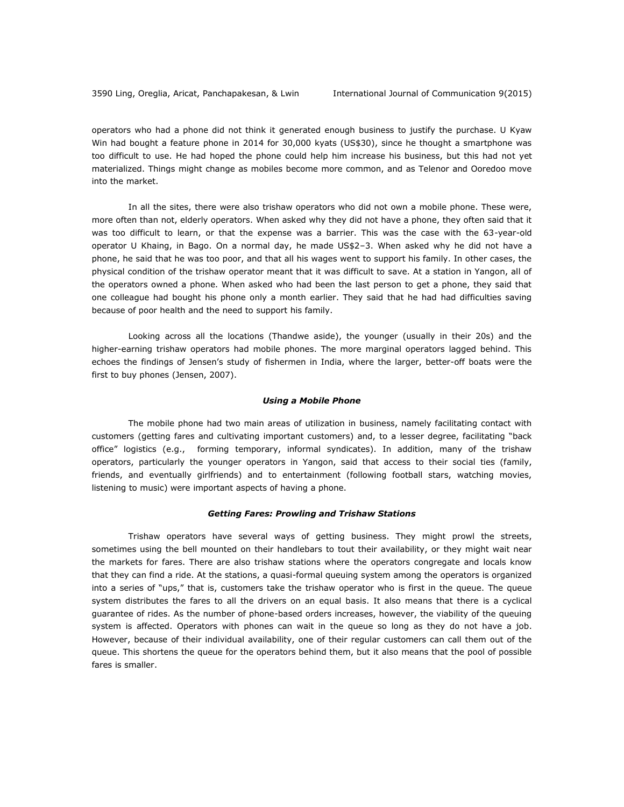operators who had a phone did not think it generated enough business to justify the purchase. U Kyaw Win had bought a feature phone in 2014 for 30,000 kyats (US\$30), since he thought a smartphone was too difficult to use. He had hoped the phone could help him increase his business, but this had not yet materialized. Things might change as mobiles become more common, and as Telenor and Ooredoo move into the market.

In all the sites, there were also trishaw operators who did not own a mobile phone. These were, more often than not, elderly operators. When asked why they did not have a phone, they often said that it was too difficult to learn, or that the expense was a barrier. This was the case with the 63-year-old operator U Khaing, in Bago. On a normal day, he made US\$2–3. When asked why he did not have a phone, he said that he was too poor, and that all his wages went to support his family. In other cases, the physical condition of the trishaw operator meant that it was difficult to save. At a station in Yangon, all of the operators owned a phone. When asked who had been the last person to get a phone, they said that one colleague had bought his phone only a month earlier. They said that he had had difficulties saving because of poor health and the need to support his family.

Looking across all the locations (Thandwe aside), the younger (usually in their 20s) and the higher-earning trishaw operators had mobile phones. The more marginal operators lagged behind. This echoes the findings of Jensen's study of fishermen in India, where the larger, better-off boats were the first to buy phones (Jensen, 2007).

#### *Using a Mobile Phone*

The mobile phone had two main areas of utilization in business, namely facilitating contact with customers (getting fares and cultivating important customers) and, to a lesser degree, facilitating "back office" logistics (e.g., forming temporary, informal syndicates). In addition, many of the trishaw operators, particularly the younger operators in Yangon, said that access to their social ties (family, friends, and eventually girlfriends) and to entertainment (following football stars, watching movies, listening to music) were important aspects of having a phone.

#### *Getting Fares: Prowling and Trishaw Stations*

Trishaw operators have several ways of getting business. They might prowl the streets, sometimes using the bell mounted on their handlebars to tout their availability, or they might wait near the markets for fares. There are also trishaw stations where the operators congregate and locals know that they can find a ride. At the stations, a quasi-formal queuing system among the operators is organized into a series of "ups," that is, customers take the trishaw operator who is first in the queue. The queue system distributes the fares to all the drivers on an equal basis. It also means that there is a cyclical guarantee of rides. As the number of phone-based orders increases, however, the viability of the queuing system is affected. Operators with phones can wait in the queue so long as they do not have a job. However, because of their individual availability, one of their regular customers can call them out of the queue. This shortens the queue for the operators behind them, but it also means that the pool of possible fares is smaller.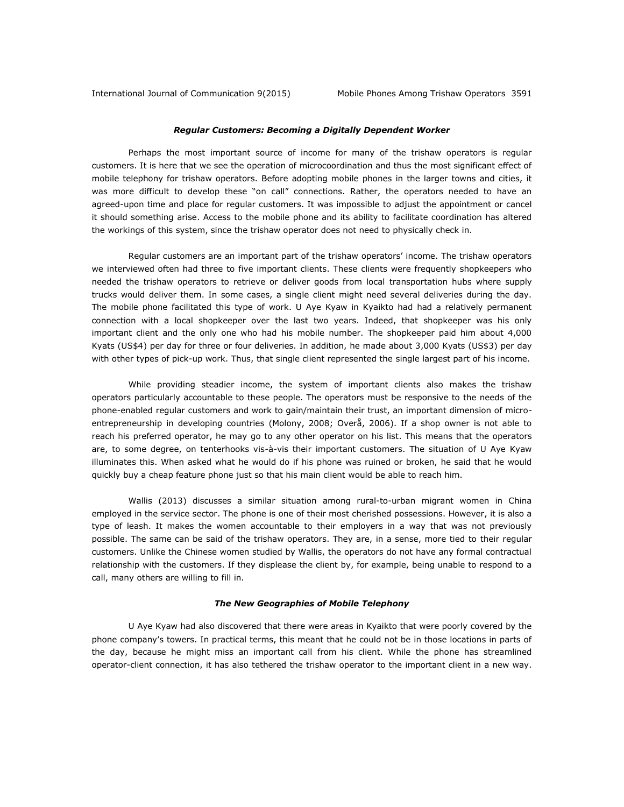## *Regular Customers: Becoming a Digitally Dependent Worker*

Perhaps the most important source of income for many of the trishaw operators is regular customers. It is here that we see the operation of microcoordination and thus the most significant effect of mobile telephony for trishaw operators. Before adopting mobile phones in the larger towns and cities, it was more difficult to develop these "on call" connections. Rather, the operators needed to have an agreed-upon time and place for regular customers. It was impossible to adjust the appointment or cancel it should something arise. Access to the mobile phone and its ability to facilitate coordination has altered the workings of this system, since the trishaw operator does not need to physically check in.

Regular customers are an important part of the trishaw operators' income. The trishaw operators we interviewed often had three to five important clients. These clients were frequently shopkeepers who needed the trishaw operators to retrieve or deliver goods from local transportation hubs where supply trucks would deliver them. In some cases, a single client might need several deliveries during the day. The mobile phone facilitated this type of work. U Aye Kyaw in Kyaikto had had a relatively permanent connection with a local shopkeeper over the last two years. Indeed, that shopkeeper was his only important client and the only one who had his mobile number. The shopkeeper paid him about 4,000 Kyats (US\$4) per day for three or four deliveries. In addition, he made about 3,000 Kyats (US\$3) per day with other types of pick-up work. Thus, that single client represented the single largest part of his income.

While providing steadier income, the system of important clients also makes the trishaw operators particularly accountable to these people. The operators must be responsive to the needs of the phone-enabled regular customers and work to gain/maintain their trust, an important dimension of microentrepreneurship in developing countries (Molony, 2008; Overå, 2006). If a shop owner is not able to reach his preferred operator, he may go to any other operator on his list. This means that the operators are, to some degree, on tenterhooks vis-à-vis their important customers. The situation of U Aye Kyaw illuminates this. When asked what he would do if his phone was ruined or broken, he said that he would quickly buy a cheap feature phone just so that his main client would be able to reach him.

Wallis (2013) discusses a similar situation among rural-to-urban migrant women in China employed in the service sector. The phone is one of their most cherished possessions. However, it is also a type of leash. It makes the women accountable to their employers in a way that was not previously possible. The same can be said of the trishaw operators. They are, in a sense, more tied to their regular customers. Unlike the Chinese women studied by Wallis, the operators do not have any formal contractual relationship with the customers. If they displease the client by, for example, being unable to respond to a call, many others are willing to fill in.

### *The New Geographies of Mobile Telephony*

U Aye Kyaw had also discovered that there were areas in Kyaikto that were poorly covered by the phone company's towers. In practical terms, this meant that he could not be in those locations in parts of the day, because he might miss an important call from his client. While the phone has streamlined operator-client connection, it has also tethered the trishaw operator to the important client in a new way.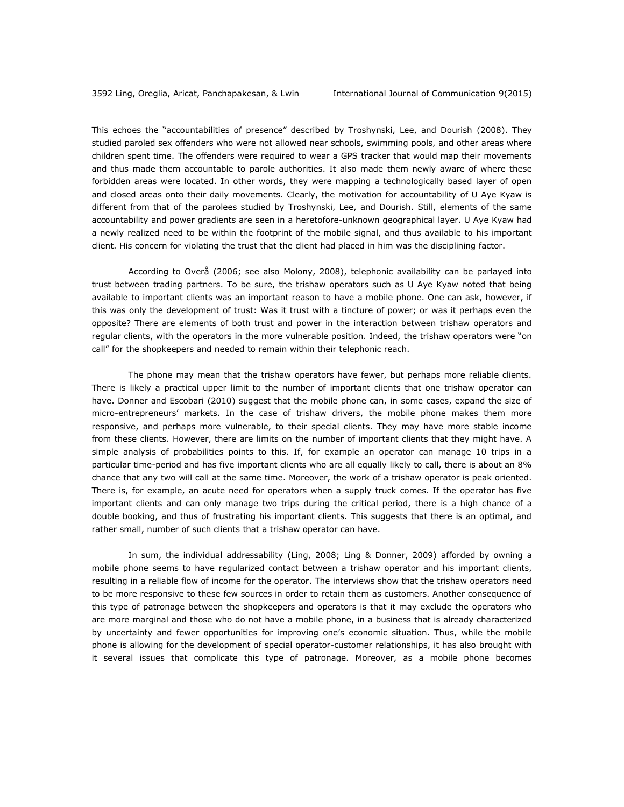This echoes the "accountabilities of presence" described by Troshynski, Lee, and Dourish (2008). They studied paroled sex offenders who were not allowed near schools, swimming pools, and other areas where children spent time. The offenders were required to wear a GPS tracker that would map their movements and thus made them accountable to parole authorities. It also made them newly aware of where these forbidden areas were located. In other words, they were mapping a technologically based layer of open and closed areas onto their daily movements. Clearly, the motivation for accountability of U Aye Kyaw is different from that of the parolees studied by Troshynski, Lee, and Dourish. Still, elements of the same accountability and power gradients are seen in a heretofore-unknown geographical layer. U Aye Kyaw had a newly realized need to be within the footprint of the mobile signal, and thus available to his important client. His concern for violating the trust that the client had placed in him was the disciplining factor.

According to Overå (2006; see also Molony, 2008), telephonic availability can be parlayed into trust between trading partners. To be sure, the trishaw operators such as U Aye Kyaw noted that being available to important clients was an important reason to have a mobile phone. One can ask, however, if this was only the development of trust: Was it trust with a tincture of power; or was it perhaps even the opposite? There are elements of both trust and power in the interaction between trishaw operators and regular clients, with the operators in the more vulnerable position. Indeed, the trishaw operators were "on call" for the shopkeepers and needed to remain within their telephonic reach.

The phone may mean that the trishaw operators have fewer, but perhaps more reliable clients. There is likely a practical upper limit to the number of important clients that one trishaw operator can have. Donner and Escobari (2010) suggest that the mobile phone can, in some cases, expand the size of micro-entrepreneurs' markets. In the case of trishaw drivers, the mobile phone makes them more responsive, and perhaps more vulnerable, to their special clients. They may have more stable income from these clients. However, there are limits on the number of important clients that they might have. A simple analysis of probabilities points to this. If, for example an operator can manage 10 trips in a particular time-period and has five important clients who are all equally likely to call, there is about an 8% chance that any two will call at the same time. Moreover, the work of a trishaw operator is peak oriented. There is, for example, an acute need for operators when a supply truck comes. If the operator has five important clients and can only manage two trips during the critical period, there is a high chance of a double booking, and thus of frustrating his important clients. This suggests that there is an optimal, and rather small, number of such clients that a trishaw operator can have.

In sum, the individual addressability (Ling, 2008; Ling & Donner, 2009) afforded by owning a mobile phone seems to have regularized contact between a trishaw operator and his important clients, resulting in a reliable flow of income for the operator. The interviews show that the trishaw operators need to be more responsive to these few sources in order to retain them as customers. Another consequence of this type of patronage between the shopkeepers and operators is that it may exclude the operators who are more marginal and those who do not have a mobile phone, in a business that is already characterized by uncertainty and fewer opportunities for improving one's economic situation. Thus, while the mobile phone is allowing for the development of special operator-customer relationships, it has also brought with it several issues that complicate this type of patronage. Moreover, as a mobile phone becomes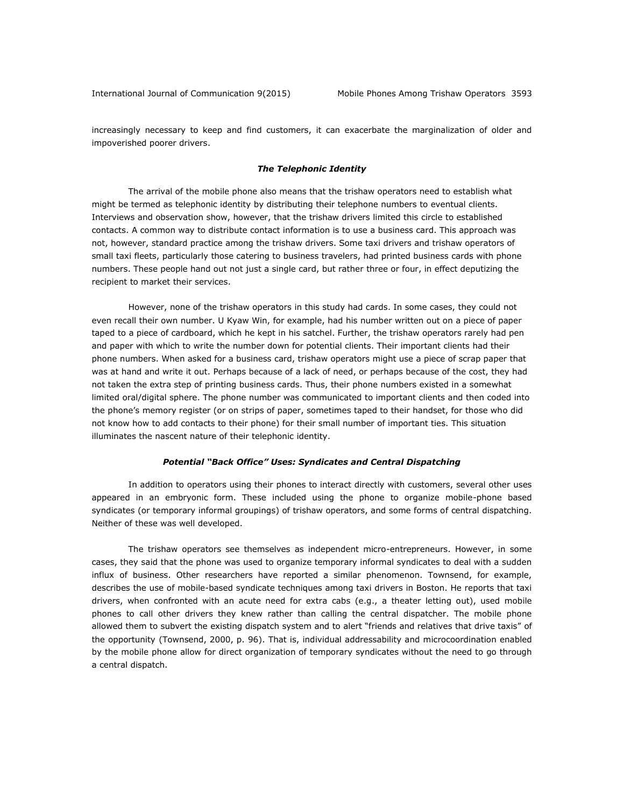increasingly necessary to keep and find customers, it can exacerbate the marginalization of older and impoverished poorer drivers.

#### *The Telephonic Identity*

The arrival of the mobile phone also means that the trishaw operators need to establish what might be termed as telephonic identity by distributing their telephone numbers to eventual clients. Interviews and observation show, however, that the trishaw drivers limited this circle to established contacts. A common way to distribute contact information is to use a business card. This approach was not, however, standard practice among the trishaw drivers. Some taxi drivers and trishaw operators of small taxi fleets, particularly those catering to business travelers, had printed business cards with phone numbers. These people hand out not just a single card, but rather three or four, in effect deputizing the recipient to market their services.

However, none of the trishaw operators in this study had cards. In some cases, they could not even recall their own number. U Kyaw Win, for example, had his number written out on a piece of paper taped to a piece of cardboard, which he kept in his satchel. Further, the trishaw operators rarely had pen and paper with which to write the number down for potential clients. Their important clients had their phone numbers. When asked for a business card, trishaw operators might use a piece of scrap paper that was at hand and write it out. Perhaps because of a lack of need, or perhaps because of the cost, they had not taken the extra step of printing business cards. Thus, their phone numbers existed in a somewhat limited oral/digital sphere. The phone number was communicated to important clients and then coded into the phone's memory register (or on strips of paper, sometimes taped to their handset, for those who did not know how to add contacts to their phone) for their small number of important ties. This situation illuminates the nascent nature of their telephonic identity.

#### *Potential "Back Office" Uses: Syndicates and Central Dispatching*

In addition to operators using their phones to interact directly with customers, several other uses appeared in an embryonic form. These included using the phone to organize mobile-phone based syndicates (or temporary informal groupings) of trishaw operators, and some forms of central dispatching. Neither of these was well developed.

The trishaw operators see themselves as independent micro-entrepreneurs. However, in some cases, they said that the phone was used to organize temporary informal syndicates to deal with a sudden influx of business. Other researchers have reported a similar phenomenon. Townsend, for example, describes the use of mobile-based syndicate techniques among taxi drivers in Boston. He reports that taxi drivers, when confronted with an acute need for extra cabs (e.g., a theater letting out), used mobile phones to call other drivers they knew rather than calling the central dispatcher. The mobile phone allowed them to subvert the existing dispatch system and to alert "friends and relatives that drive taxis" of the opportunity (Townsend, 2000, p. 96). That is, individual addressability and microcoordination enabled by the mobile phone allow for direct organization of temporary syndicates without the need to go through a central dispatch.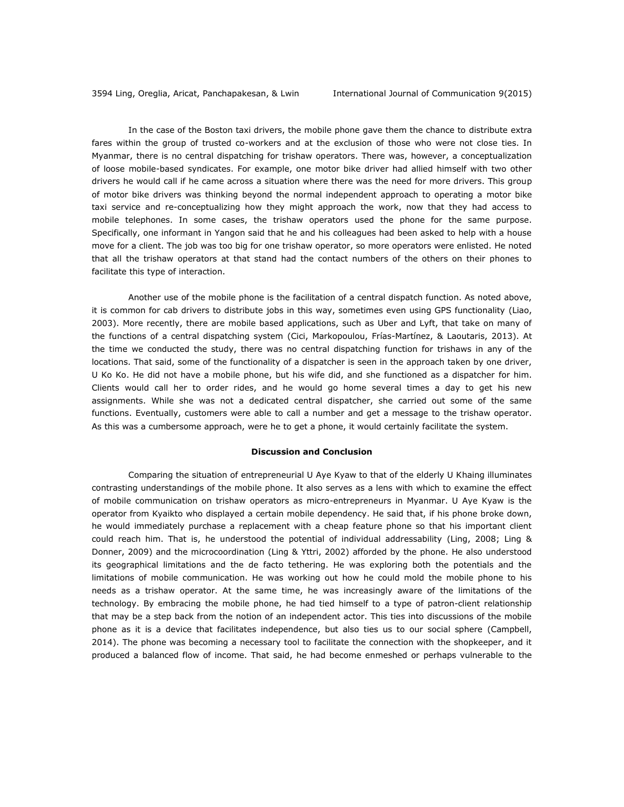In the case of the Boston taxi drivers, the mobile phone gave them the chance to distribute extra fares within the group of trusted co-workers and at the exclusion of those who were not close ties. In Myanmar, there is no central dispatching for trishaw operators. There was, however, a conceptualization of loose mobile-based syndicates. For example, one motor bike driver had allied himself with two other drivers he would call if he came across a situation where there was the need for more drivers. This group of motor bike drivers was thinking beyond the normal independent approach to operating a motor bike taxi service and re-conceptualizing how they might approach the work, now that they had access to mobile telephones. In some cases, the trishaw operators used the phone for the same purpose. Specifically, one informant in Yangon said that he and his colleagues had been asked to help with a house move for a client. The job was too big for one trishaw operator, so more operators were enlisted. He noted that all the trishaw operators at that stand had the contact numbers of the others on their phones to facilitate this type of interaction.

Another use of the mobile phone is the facilitation of a central dispatch function. As noted above, it is common for cab drivers to distribute jobs in this way, sometimes even using GPS functionality (Liao, 2003). More recently, there are mobile based applications, such as Uber and Lyft, that take on many of the functions of a central dispatching system (Cici, Markopoulou, Frías-Martínez, & Laoutaris, 2013). At the time we conducted the study, there was no central dispatching function for trishaws in any of the locations. That said, some of the functionality of a dispatcher is seen in the approach taken by one driver, U Ko Ko. He did not have a mobile phone, but his wife did, and she functioned as a dispatcher for him. Clients would call her to order rides, and he would go home several times a day to get his new assignments. While she was not a dedicated central dispatcher, she carried out some of the same functions. Eventually, customers were able to call a number and get a message to the trishaw operator. As this was a cumbersome approach, were he to get a phone, it would certainly facilitate the system.

#### **Discussion and Conclusion**

Comparing the situation of entrepreneurial U Aye Kyaw to that of the elderly U Khaing illuminates contrasting understandings of the mobile phone. It also serves as a lens with which to examine the effect of mobile communication on trishaw operators as micro-entrepreneurs in Myanmar. U Aye Kyaw is the operator from Kyaikto who displayed a certain mobile dependency. He said that, if his phone broke down, he would immediately purchase a replacement with a cheap feature phone so that his important client could reach him. That is, he understood the potential of individual addressability (Ling, 2008; Ling & Donner, 2009) and the microcoordination (Ling & Yttri, 2002) afforded by the phone. He also understood its geographical limitations and the de facto tethering. He was exploring both the potentials and the limitations of mobile communication. He was working out how he could mold the mobile phone to his needs as a trishaw operator. At the same time, he was increasingly aware of the limitations of the technology. By embracing the mobile phone, he had tied himself to a type of patron-client relationship that may be a step back from the notion of an independent actor. This ties into discussions of the mobile phone as it is a device that facilitates independence, but also ties us to our social sphere (Campbell, 2014). The phone was becoming a necessary tool to facilitate the connection with the shopkeeper, and it produced a balanced flow of income. That said, he had become enmeshed or perhaps vulnerable to the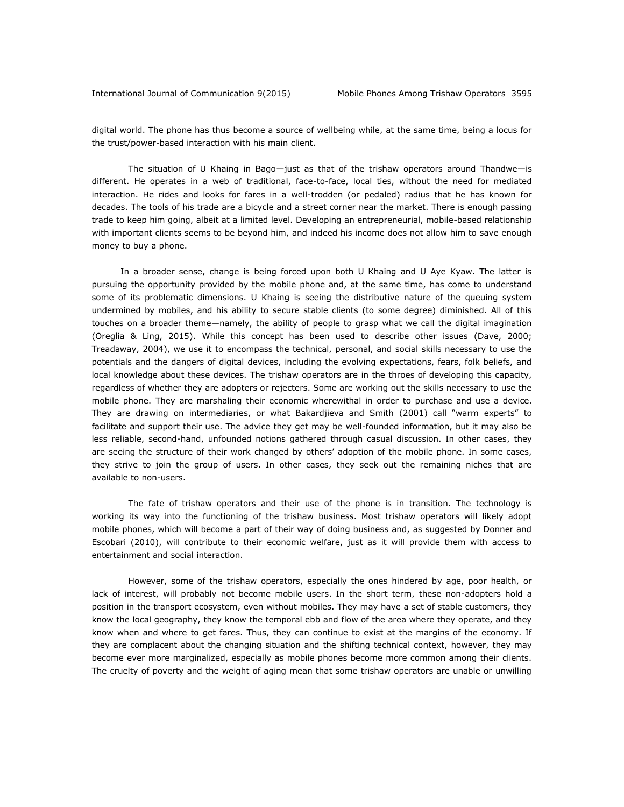digital world. The phone has thus become a source of wellbeing while, at the same time, being a locus for the trust/power-based interaction with his main client.

The situation of U Khaing in Bago—just as that of the trishaw operators around Thandwe—is different. He operates in a web of traditional, face-to-face, local ties, without the need for mediated interaction. He rides and looks for fares in a well-trodden (or pedaled) radius that he has known for decades. The tools of his trade are a bicycle and a street corner near the market. There is enough passing trade to keep him going, albeit at a limited level. Developing an entrepreneurial, mobile-based relationship with important clients seems to be beyond him, and indeed his income does not allow him to save enough money to buy a phone.

In a broader sense, change is being forced upon both U Khaing and U Aye Kyaw. The latter is pursuing the opportunity provided by the mobile phone and, at the same time, has come to understand some of its problematic dimensions. U Khaing is seeing the distributive nature of the queuing system undermined by mobiles, and his ability to secure stable clients (to some degree) diminished. All of this touches on a broader theme—namely, the ability of people to grasp what we call the digital imagination (Oreglia & Ling, 2015). While this concept has been used to describe other issues (Dave, 2000; Treadaway, 2004), we use it to encompass the technical, personal, and social skills necessary to use the potentials and the dangers of digital devices, including the evolving expectations, fears, folk beliefs, and local knowledge about these devices. The trishaw operators are in the throes of developing this capacity, regardless of whether they are adopters or rejecters. Some are working out the skills necessary to use the mobile phone. They are marshaling their economic wherewithal in order to purchase and use a device. They are drawing on intermediaries, or what Bakardjieva and Smith (2001) call "warm experts" to facilitate and support their use. The advice they get may be well-founded information, but it may also be less reliable, second-hand, unfounded notions gathered through casual discussion. In other cases, they are seeing the structure of their work changed by others' adoption of the mobile phone. In some cases, they strive to join the group of users. In other cases, they seek out the remaining niches that are available to non-users.

The fate of trishaw operators and their use of the phone is in transition. The technology is working its way into the functioning of the trishaw business. Most trishaw operators will likely adopt mobile phones, which will become a part of their way of doing business and, as suggested by Donner and Escobari (2010), will contribute to their economic welfare, just as it will provide them with access to entertainment and social interaction.

However, some of the trishaw operators, especially the ones hindered by age, poor health, or lack of interest, will probably not become mobile users. In the short term, these non-adopters hold a position in the transport ecosystem, even without mobiles. They may have a set of stable customers, they know the local geography, they know the temporal ebb and flow of the area where they operate, and they know when and where to get fares. Thus, they can continue to exist at the margins of the economy. If they are complacent about the changing situation and the shifting technical context, however, they may become ever more marginalized, especially as mobile phones become more common among their clients. The cruelty of poverty and the weight of aging mean that some trishaw operators are unable or unwilling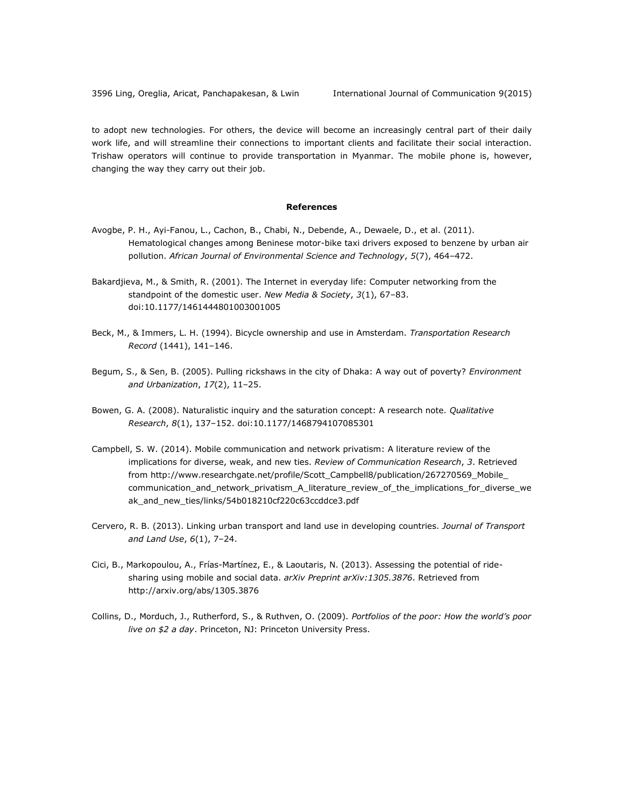to adopt new technologies. For others, the device will become an increasingly central part of their daily work life, and will streamline their connections to important clients and facilitate their social interaction. Trishaw operators will continue to provide transportation in Myanmar. The mobile phone is, however, changing the way they carry out their job.

## **References**

- Avogbe, P. H., Ayi-Fanou, L., Cachon, B., Chabi, N., Debende, A., Dewaele, D., et al. (2011). Hematological changes among Beninese motor-bike taxi drivers exposed to benzene by urban air pollution. *African Journal of Environmental Science and Technology*, *5*(7), 464–472.
- Bakardjieva, M., & Smith, R. (2001). The Internet in everyday life: Computer networking from the standpoint of the domestic user. *New Media & Society*, *3*(1), 67–83. doi:10.1177/1461444801003001005
- Beck, M., & Immers, L. H. (1994). Bicycle ownership and use in Amsterdam. *Transportation Research Record* (1441), 141–146.
- Begum, S., & Sen, B. (2005). Pulling rickshaws in the city of Dhaka: A way out of poverty? *Environment and Urbanization*, *17*(2), 11–25.
- Bowen, G. A. (2008). Naturalistic inquiry and the saturation concept: A research note. *Qualitative Research*, *8*(1), 137–152. doi:10.1177/1468794107085301
- Campbell, S. W. (2014). Mobile communication and network privatism: A literature review of the implications for diverse, weak, and new ties. *Review of Communication Research*, *3*. Retrieved from [http://www.researchgate.net/profile/Scott\\_Campbell8/publication/267270569\\_Mobile\\_](http://www.researchgate.net/profile/Scott_Campbell8/publication/267270569_Mobile_%0bcommunication_and_network_privatism_A_literature_review_of_the_implications_for_diverse_weak_and_new_ties/links/54b018210cf220c63ccddce3.pdf) [communication\\_and\\_network\\_privatism\\_A\\_literature\\_review\\_of\\_the\\_implications\\_for\\_diverse\\_we](http://www.researchgate.net/profile/Scott_Campbell8/publication/267270569_Mobile_%0bcommunication_and_network_privatism_A_literature_review_of_the_implications_for_diverse_weak_and_new_ties/links/54b018210cf220c63ccddce3.pdf) ak and new ties/links/54b018210cf220c63ccddce3.pdf
- Cervero, R. B. (2013). Linking urban transport and land use in developing countries. *Journal of Transport and Land Use*, *6*(1), 7–24.
- Cici, B., Markopoulou, A., Frías-Martínez, E., & Laoutaris, N. (2013). Assessing the potential of ridesharing using mobile and social data. *arXiv Preprint arXiv:1305.3876*. Retrieved from <http://arxiv.org/abs/1305.3876>
- Collins, D., Morduch, J., Rutherford, S., & Ruthven, O. (2009). *Portfolios of the poor: How the world's poor live on \$2 a day*. Princeton, NJ: Princeton University Press.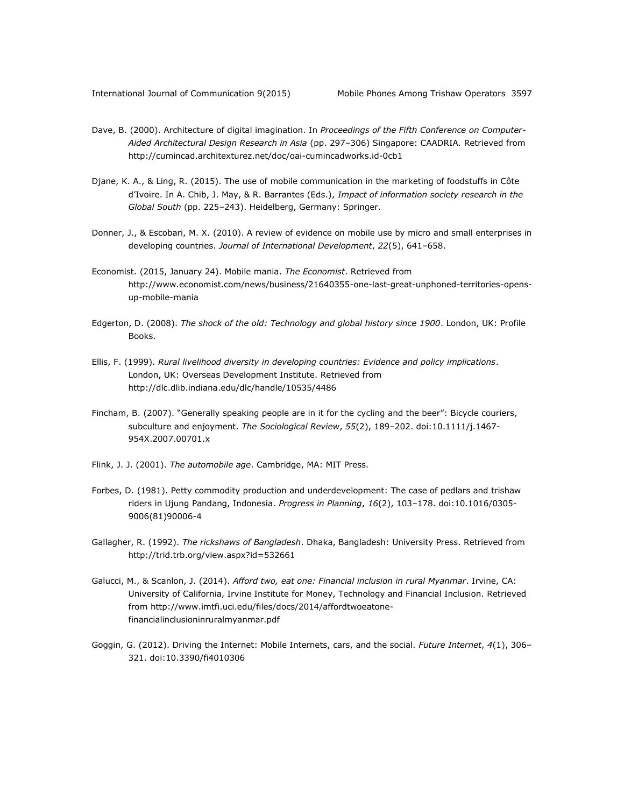- Dave, B. (2000). Architecture of digital imagination. In *Proceedings of the Fifth Conference on Computer-Aided Architectural Design Research in Asia* (pp. 297–306) Singapore: CAADRIA*.* Retrieved from <http://cumincad.architexturez.net/doc/oai-cumincadworks.id-0cb1>
- Djane, K. A., & Ling, R. (2015). The use of mobile communication in the marketing of foodstuffs in Côte d'Ivoire. In A. Chib, J. May, & R. Barrantes (Eds.), *Impact of information society research in the Global South* (pp. 225–243). Heidelberg, Germany: Springer.
- Donner, J., & Escobari, M. X. (2010). A review of evidence on mobile use by micro and small enterprises in developing countries. *Journal of International Development*, *22*(5), 641–658.
- Economist. (2015, January 24). Mobile mania. *The Economist*. Retrieved from [http://www.economist.com/news/business/21640355-one-last-great-unphoned-territories-opens](http://www.economist.com/news/business/21640355-one-last-great-unphoned-territories-opens-up-mobile-mania)[up-mobile-mania](http://www.economist.com/news/business/21640355-one-last-great-unphoned-territories-opens-up-mobile-mania)
- Edgerton, D. (2008). *The shock of the old: Technology and global history since 1900*. London, UK: Profile Books.
- Ellis, F. (1999). *Rural livelihood diversity in developing countries: Evidence and policy implications*. London, UK: Overseas Development Institute. Retrieved from <http://dlc.dlib.indiana.edu/dlc/handle/10535/4486>
- Fincham, B. (2007). "Generally speaking people are in it for the cycling and the beer": Bicycle couriers, subculture and enjoyment. *The Sociological Review*, *55*(2), 189–202. doi:10.1111/j.1467- 954X.2007.00701.x
- Flink, J. J. (2001). *The automobile age*. Cambridge, MA: MIT Press.
- Forbes, D. (1981). Petty commodity production and underdevelopment: The case of pedlars and trishaw riders in Ujung Pandang, Indonesia. *Progress in Planning*, *16*(2), 103–178. doi:10.1016/0305- 9006(81)90006-4
- Gallagher, R. (1992). *The rickshaws of Bangladesh*. Dhaka, Bangladesh: University Press. Retrieved from <http://trid.trb.org/view.aspx?id=532661>
- Galucci, M., & Scanlon, J. (2014). *Afford two, eat one: Financial inclusion in rural Myanmar*. Irvine, CA: University of California, Irvine Institute for Money, Technology and Financial Inclusion. Retrieved from [http://www.imtfi.uci.edu/files/docs/2014/affordtwoeatone](http://www.imtfi.uci.edu/files/docs/2014/affordtwoeatone-financialinclusioninruralmyanmar.pdf)[financialinclusioninruralmyanmar.pdf](http://www.imtfi.uci.edu/files/docs/2014/affordtwoeatone-financialinclusioninruralmyanmar.pdf)
- Goggin, G. (2012). Driving the Internet: Mobile Internets, cars, and the social. *Future Internet*, *4*(1), 306– 321. doi:10.3390/fi4010306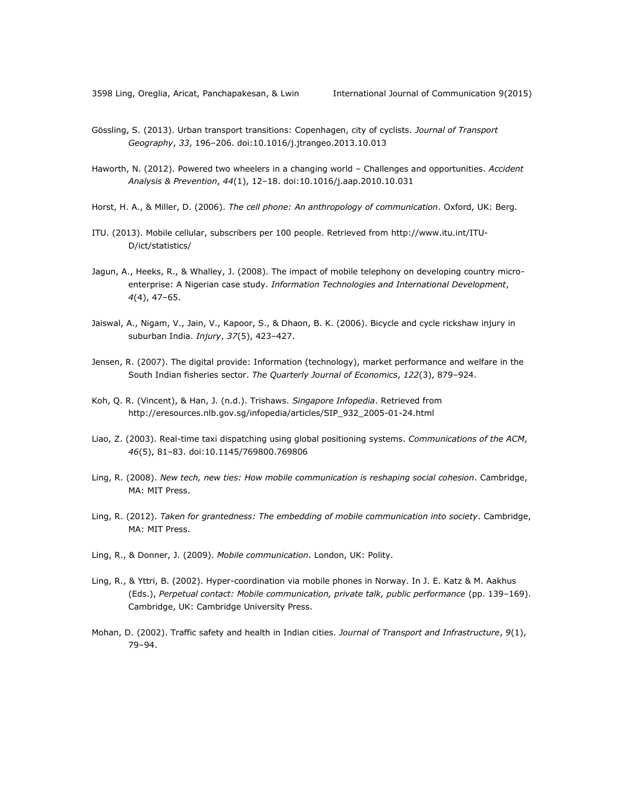- Gössling, S. (2013). Urban transport transitions: Copenhagen, city of cyclists. *Journal of Transport Geography*, *33*, 196–206. doi:10.1016/j.jtrangeo.2013.10.013
- Haworth, N. (2012). Powered two wheelers in a changing world Challenges and opportunities. *Accident Analysis & Prevention*, *44*(1), 12–18. doi:10.1016/j.aap.2010.10.031
- Horst, H. A., & Miller, D. (2006). *The cell phone: An anthropology of communication*. Oxford, UK: Berg.
- ITU. (2013). Mobile cellular, subscribers per 100 people. Retrieved from [http://www.itu.int/ITU-](http://www.itu.int/ITU-D/ict/statistics/)[D/ict/statistics/](http://www.itu.int/ITU-D/ict/statistics/)
- Jagun, A., Heeks, R., & Whalley, J. (2008). The impact of mobile telephony on developing country microenterprise: A Nigerian case study. *Information Technologies and International Development*, *4*(4), 47–65.
- Jaiswal, A., Nigam, V., Jain, V., Kapoor, S., & Dhaon, B. K. (2006). Bicycle and cycle rickshaw injury in suburban India. *Injury*, *37*(5), 423–427.
- Jensen, R. (2007). The digital provide: Information (technology), market performance and welfare in the South Indian fisheries sector. *The Quarterly Journal of Economics*, *122*(3), 879–924.
- Koh, Q. R. (Vincent), & Han, J. (n.d.). Trishaws. *Singapore Infopedia*. Retrieved from [http://eresources.nlb.gov.sg/infopedia/articles/SIP\\_932\\_2005-01-24.html](http://eresources.nlb.gov.sg/infopedia/articles/SIP_932_2005-01-24.html)
- Liao, Z. (2003). Real-time taxi dispatching using global positioning systems. *Communications of the ACM*, *46*(5), 81–83. doi:10.1145/769800.769806
- Ling, R. (2008). *New tech, new ties: How mobile communication is reshaping social cohesion*. Cambridge, MA: MIT Press.
- Ling, R. (2012). *Taken for grantedness: The embedding of mobile communication into society*. Cambridge, MA: MIT Press.
- Ling, R., & Donner, J. (2009). *Mobile communication*. London, UK: Polity.
- Ling, R., & Yttri, B. (2002). Hyper-coordination via mobile phones in Norway. In J. E. Katz & M. Aakhus (Eds.), *Perpetual contact: Mobile communication, private talk, public performance* (pp. 139–169). Cambridge, UK: Cambridge University Press.
- Mohan, D. (2002). Traffic safety and health in Indian cities. *Journal of Transport and Infrastructure*, *9*(1), 79–94.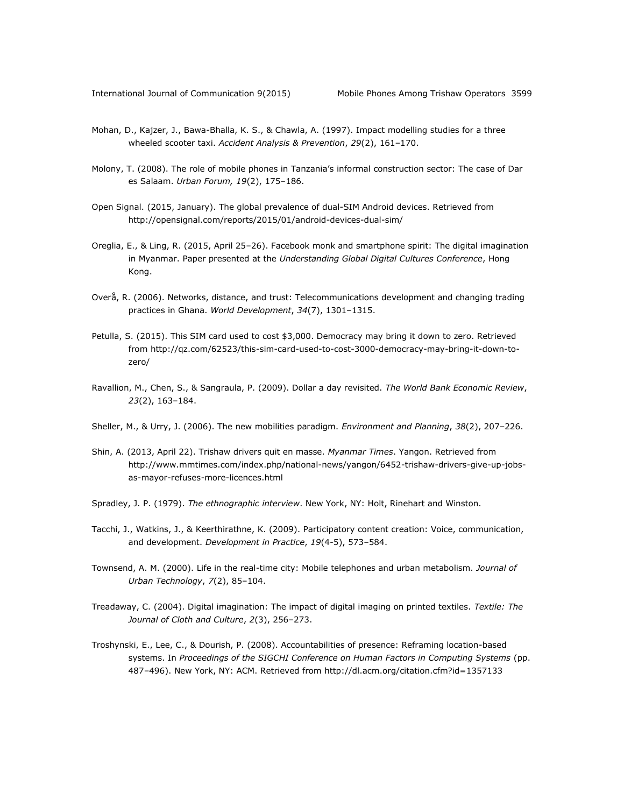- Mohan, D., Kajzer, J., Bawa-Bhalla, K. S., & Chawla, A. (1997). Impact modelling studies for a three wheeled scooter taxi. *Accident Analysis & Prevention*, *29*(2), 161–170.
- Molony, T. (2008). The role of mobile phones in Tanzania's informal construction sector: The case of Dar es Salaam. *Urban Forum, 19*(2), 175–186.
- Open Signal. (2015, January). The global prevalence of dual-SIM Android devices. Retrieved from <http://opensignal.com/reports/2015/01/android-devices-dual-sim/>
- Oreglia, E., & Ling, R. (2015, April 25–26). Facebook monk and smartphone spirit: The digital imagination in Myanmar. Paper presented at the *Understanding Global Digital Cultures Conference*, Hong Kong.
- Overå, R. (2006). Networks, distance, and trust: Telecommunications development and changing trading practices in Ghana. *World Development*, *34*(7), 1301–1315.
- Petulla, S. (2015). This SIM card used to cost \$3,000. Democracy may bring it down to zero. Retrieved from [http://qz.com/62523/this-sim-card-used-to-cost-3000-democracy-may-bring-it-down-to](http://qz.com/62523/this-sim-card-used-to-cost-3000-democracy-may-bring-it-down-to-zero/)[zero/](http://qz.com/62523/this-sim-card-used-to-cost-3000-democracy-may-bring-it-down-to-zero/)
- Ravallion, M., Chen, S., & Sangraula, P. (2009). Dollar a day revisited. *The World Bank Economic Review*, *23*(2), 163–184.
- Sheller, M., & Urry, J. (2006). The new mobilities paradigm. *Environment and Planning*, *38*(2), 207–226.
- Shin, A. (2013, April 22). Trishaw drivers quit en masse. *Myanmar Times*. Yangon. Retrieved from [http://www.mmtimes.com/index.php/national-news/yangon/6452-trishaw-drivers-give-up-jobs](http://www.mmtimes.com/index.php/national-news/yangon/6452-trishaw-drivers-give-up-jobs-as-mayor-refuses-more-licences.html)[as-mayor-refuses-more-licences.html](http://www.mmtimes.com/index.php/national-news/yangon/6452-trishaw-drivers-give-up-jobs-as-mayor-refuses-more-licences.html)
- Spradley, J. P. (1979). *The ethnographic interview*. New York, NY: Holt, Rinehart and Winston.
- Tacchi, J., Watkins, J., & Keerthirathne, K. (2009). Participatory content creation: Voice, communication, and development. *Development in Practice*, *19*(4-5), 573–584.
- Townsend, A. M. (2000). Life in the real-time city: Mobile telephones and urban metabolism. *Journal of Urban Technology*, *7*(2), 85–104.
- Treadaway, C. (2004). Digital imagination: The impact of digital imaging on printed textiles. *Textile: The Journal of Cloth and Culture*, *2*(3), 256–273.
- Troshynski, E., Lee, C., & Dourish, P. (2008). Accountabilities of presence: Reframing location-based systems. In *Proceedings of the SIGCHI Conference on Human Factors in Computing Systems* (pp. 487–496). New York, NY: ACM. Retrieved from<http://dl.acm.org/citation.cfm?id=1357133>